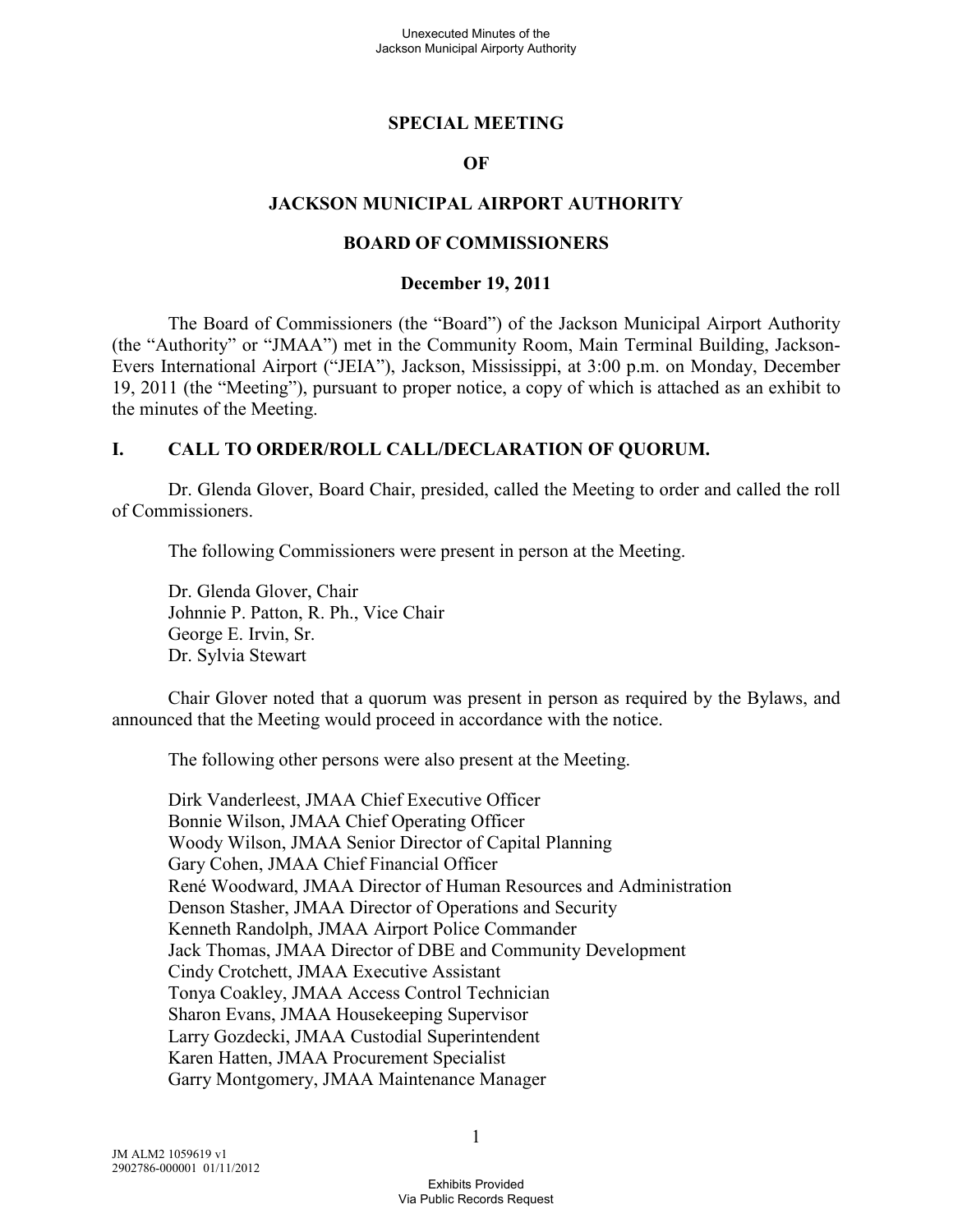### **SPECIAL MEETING**

### **OF**

### **JACKSON MUNICIPAL AIRPORT AUTHORITY**

#### **BOARD OF COMMISSIONERS**

#### **December 19, 2011**

The Board of Commissioners (the "Board") of the Jackson Municipal Airport Authority (the "Authority" or "JMAA") met in the Community Room, Main Terminal Building, Jackson-Evers International Airport ("JEIA"), Jackson, Mississippi, at 3:00 p.m. on Monday, December 19, 2011 (the "Meeting"), pursuant to proper notice, a copy of which is attached as an exhibit to the minutes of the Meeting.

#### **I. CALL TO ORDER/ROLL CALL/DECLARATION OF QUORUM.**

Dr. Glenda Glover, Board Chair, presided, called the Meeting to order and called the roll of Commissioners.

The following Commissioners were present in person at the Meeting.

Dr. Glenda Glover, Chair Johnnie P. Patton, R. Ph., Vice Chair George E. Irvin, Sr. Dr. Sylvia Stewart

Chair Glover noted that a quorum was present in person as required by the Bylaws, and announced that the Meeting would proceed in accordance with the notice.

The following other persons were also present at the Meeting.

Dirk Vanderleest, JMAA Chief Executive Officer Bonnie Wilson, JMAA Chief Operating Officer Woody Wilson, JMAA Senior Director of Capital Planning Gary Cohen, JMAA Chief Financial Officer René Woodward, JMAA Director of Human Resources and Administration Denson Stasher, JMAA Director of Operations and Security Kenneth Randolph, JMAA Airport Police Commander Jack Thomas, JMAA Director of DBE and Community Development Cindy Crotchett, JMAA Executive Assistant Tonya Coakley, JMAA Access Control Technician Sharon Evans, JMAA Housekeeping Supervisor Larry Gozdecki, JMAA Custodial Superintendent Karen Hatten, JMAA Procurement Specialist Garry Montgomery, JMAA Maintenance Manager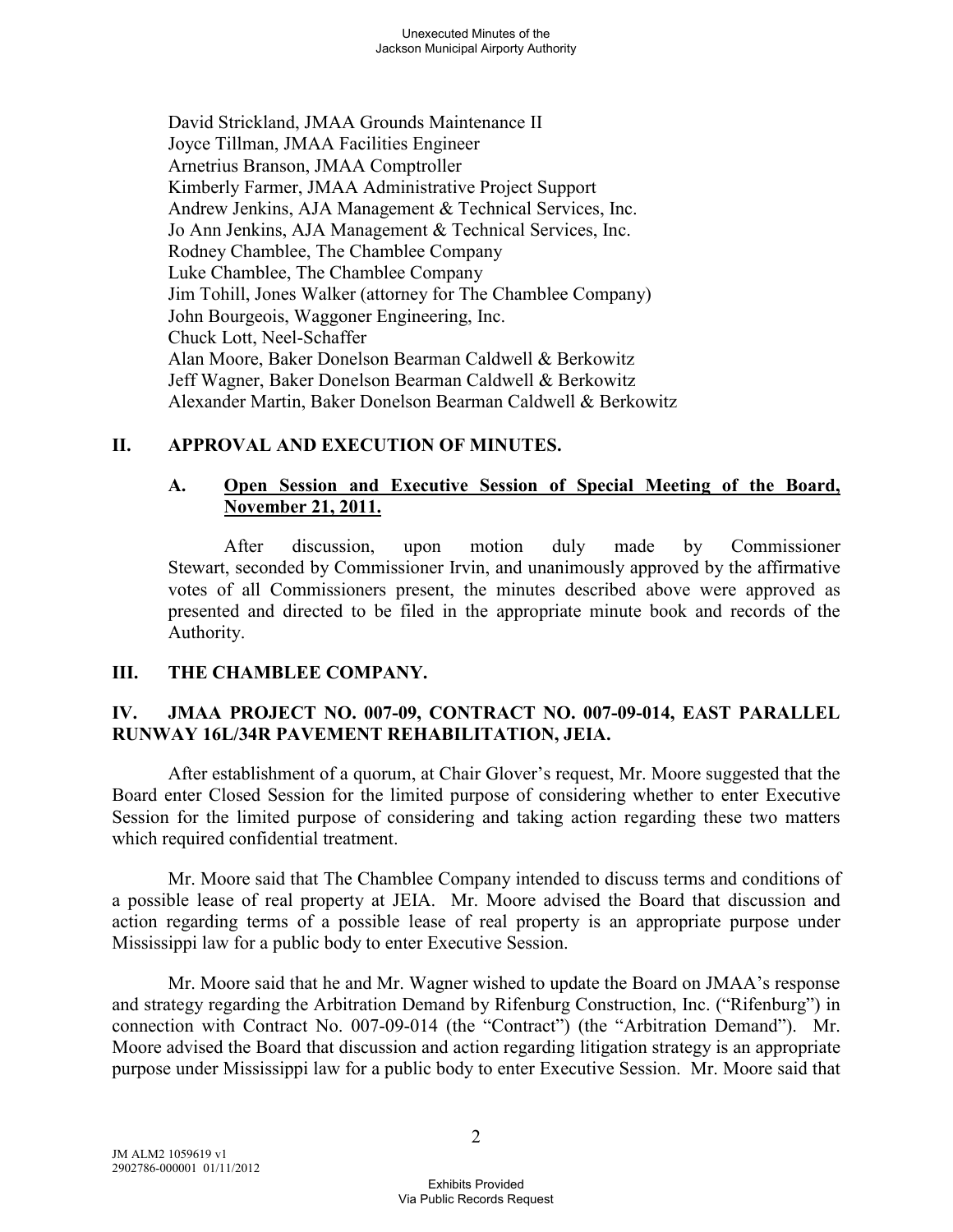David Strickland, JMAA Grounds Maintenance II Joyce Tillman, JMAA Facilities Engineer Arnetrius Branson, JMAA Comptroller Kimberly Farmer, JMAA Administrative Project Support Andrew Jenkins, AJA Management & Technical Services, Inc. Jo Ann Jenkins, AJA Management & Technical Services, Inc. Rodney Chamblee, The Chamblee Company Luke Chamblee, The Chamblee Company Jim Tohill, Jones Walker (attorney for The Chamblee Company) John Bourgeois, Waggoner Engineering, Inc. Chuck Lott, Neel-Schaffer Alan Moore, Baker Donelson Bearman Caldwell & Berkowitz Jeff Wagner, Baker Donelson Bearman Caldwell & Berkowitz Alexander Martin, Baker Donelson Bearman Caldwell & Berkowitz

### **II. APPROVAL AND EXECUTION OF MINUTES.**

### **A. Open Session and Executive Session of Special Meeting of the Board, November 21, 2011.**

After discussion, upon motion duly made by Commissioner Stewart, seconded by Commissioner Irvin, and unanimously approved by the affirmative votes of all Commissioners present, the minutes described above were approved as presented and directed to be filed in the appropriate minute book and records of the Authority.

#### **III. THE CHAMBLEE COMPANY.**

## **IV. JMAA PROJECT NO. 007-09, CONTRACT NO. 007-09-014, EAST PARALLEL RUNWAY 16L/34R PAVEMENT REHABILITATION, JEIA.**

After establishment of a quorum, at Chair Glover's request, Mr. Moore suggested that the Board enter Closed Session for the limited purpose of considering whether to enter Executive Session for the limited purpose of considering and taking action regarding these two matters which required confidential treatment.

Mr. Moore said that The Chamblee Company intended to discuss terms and conditions of a possible lease of real property at JEIA. Mr. Moore advised the Board that discussion and action regarding terms of a possible lease of real property is an appropriate purpose under Mississippi law for a public body to enter Executive Session.

Mr. Moore said that he and Mr. Wagner wished to update the Board on JMAA's response and strategy regarding the Arbitration Demand by Rifenburg Construction, Inc. ("Rifenburg") in connection with Contract No. 007-09-014 (the "Contract") (the "Arbitration Demand"). Mr. Moore advised the Board that discussion and action regarding litigation strategy is an appropriate purpose under Mississippi law for a public body to enter Executive Session. Mr. Moore said that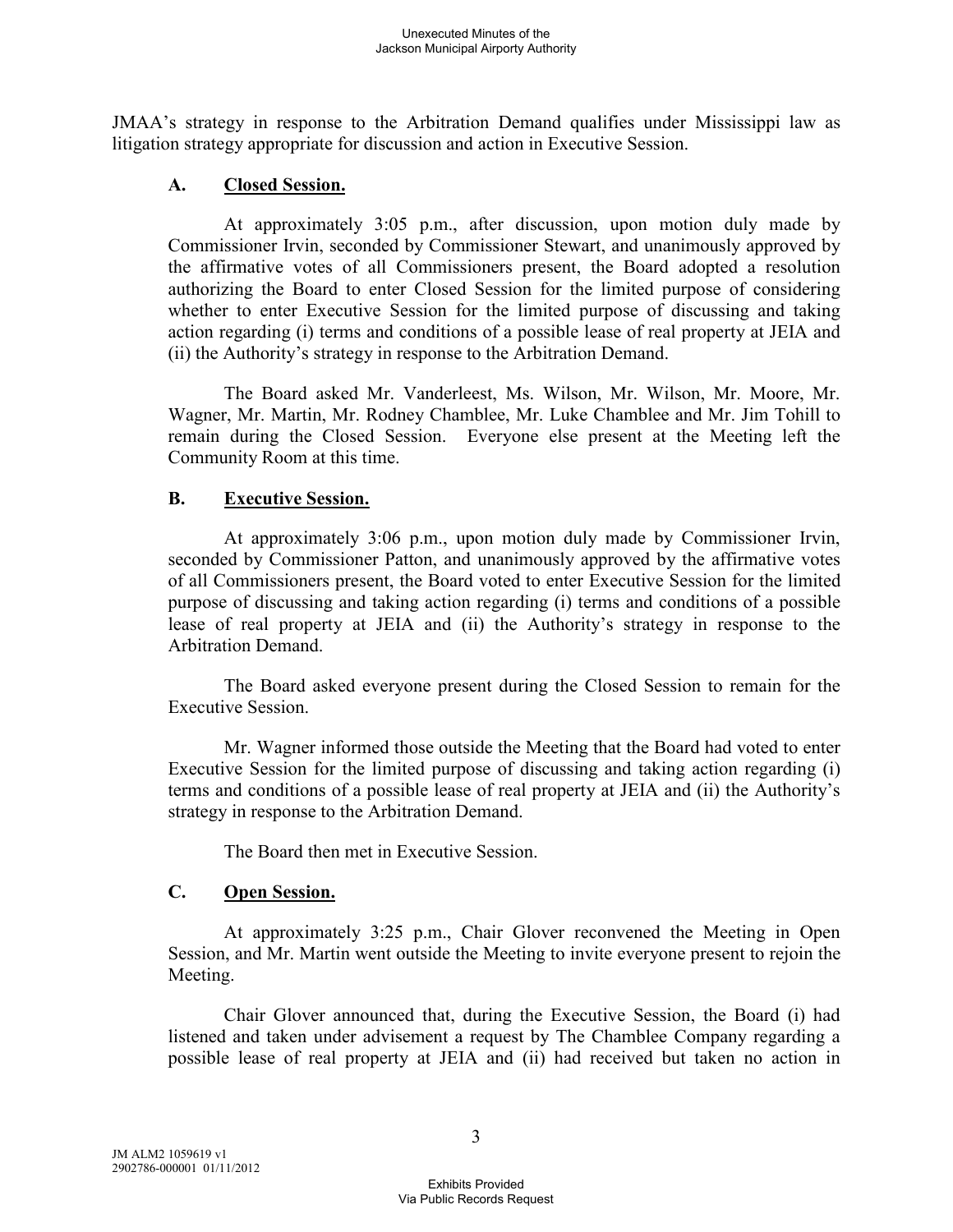JMAA's strategy in response to the Arbitration Demand qualifies under Mississippi law as litigation strategy appropriate for discussion and action in Executive Session.

## **A. Closed Session.**

At approximately 3:05 p.m., after discussion, upon motion duly made by Commissioner Irvin, seconded by Commissioner Stewart, and unanimously approved by the affirmative votes of all Commissioners present, the Board adopted a resolution authorizing the Board to enter Closed Session for the limited purpose of considering whether to enter Executive Session for the limited purpose of discussing and taking action regarding (i) terms and conditions of a possible lease of real property at JEIA and (ii) the Authority's strategy in response to the Arbitration Demand.

The Board asked Mr. Vanderleest, Ms. Wilson, Mr. Wilson, Mr. Moore, Mr. Wagner, Mr. Martin, Mr. Rodney Chamblee, Mr. Luke Chamblee and Mr. Jim Tohill to remain during the Closed Session. Everyone else present at the Meeting left the Community Room at this time.

### **B. Executive Session.**

At approximately 3:06 p.m., upon motion duly made by Commissioner Irvin, seconded by Commissioner Patton, and unanimously approved by the affirmative votes of all Commissioners present, the Board voted to enter Executive Session for the limited purpose of discussing and taking action regarding (i) terms and conditions of a possible lease of real property at JEIA and (ii) the Authority's strategy in response to the Arbitration Demand.

The Board asked everyone present during the Closed Session to remain for the Executive Session.

Mr. Wagner informed those outside the Meeting that the Board had voted to enter Executive Session for the limited purpose of discussing and taking action regarding (i) terms and conditions of a possible lease of real property at JEIA and (ii) the Authority's strategy in response to the Arbitration Demand.

The Board then met in Executive Session.

## **C. Open Session.**

At approximately 3:25 p.m., Chair Glover reconvened the Meeting in Open Session, and Mr. Martin went outside the Meeting to invite everyone present to rejoin the Meeting.

Chair Glover announced that, during the Executive Session, the Board (i) had listened and taken under advisement a request by The Chamblee Company regarding a possible lease of real property at JEIA and (ii) had received but taken no action in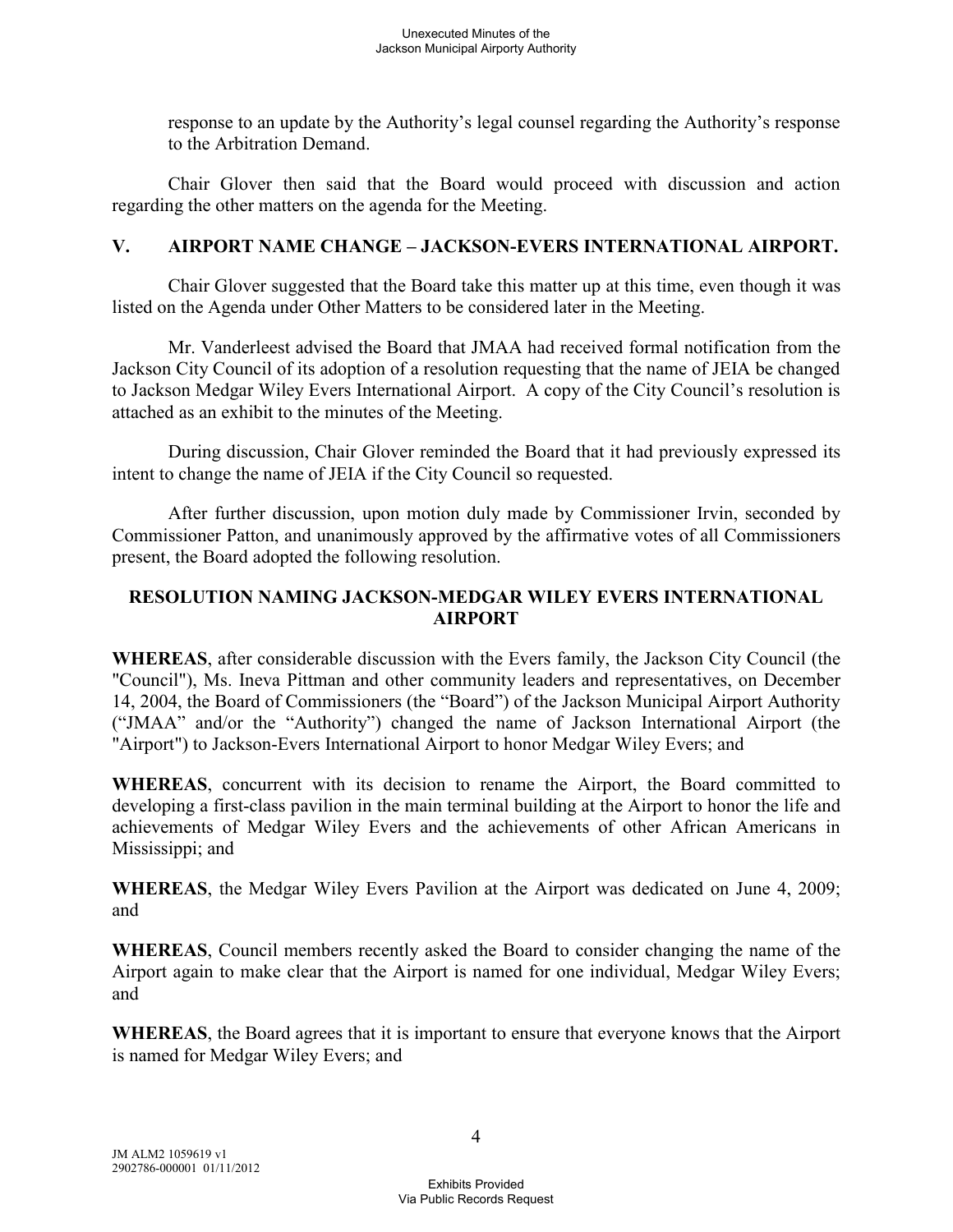response to an update by the Authority's legal counsel regarding the Authority's response to the Arbitration Demand.

Chair Glover then said that the Board would proceed with discussion and action regarding the other matters on the agenda for the Meeting.

## **V. AIRPORT NAME CHANGE – JACKSON-EVERS INTERNATIONAL AIRPORT.**

Chair Glover suggested that the Board take this matter up at this time, even though it was listed on the Agenda under Other Matters to be considered later in the Meeting.

Mr. Vanderleest advised the Board that JMAA had received formal notification from the Jackson City Council of its adoption of a resolution requesting that the name of JEIA be changed to Jackson Medgar Wiley Evers International Airport. A copy of the City Council's resolution is attached as an exhibit to the minutes of the Meeting.

During discussion, Chair Glover reminded the Board that it had previously expressed its intent to change the name of JEIA if the City Council so requested.

After further discussion, upon motion duly made by Commissioner Irvin, seconded by Commissioner Patton, and unanimously approved by the affirmative votes of all Commissioners present, the Board adopted the following resolution.

## **RESOLUTION NAMING JACKSON-MEDGAR WILEY EVERS INTERNATIONAL AIRPORT**

**WHEREAS**, after considerable discussion with the Evers family, the Jackson City Council (the "Council"), Ms. Ineva Pittman and other community leaders and representatives, on December 14, 2004, the Board of Commissioners (the "Board") of the Jackson Municipal Airport Authority ("JMAA" and/or the "Authority") changed the name of Jackson International Airport (the "Airport") to Jackson-Evers International Airport to honor Medgar Wiley Evers; and

**WHEREAS**, concurrent with its decision to rename the Airport, the Board committed to developing a first-class pavilion in the main terminal building at the Airport to honor the life and achievements of Medgar Wiley Evers and the achievements of other African Americans in Mississippi; and

**WHEREAS**, the Medgar Wiley Evers Pavilion at the Airport was dedicated on June 4, 2009; and

**WHEREAS**, Council members recently asked the Board to consider changing the name of the Airport again to make clear that the Airport is named for one individual, Medgar Wiley Evers; and

**WHEREAS**, the Board agrees that it is important to ensure that everyone knows that the Airport is named for Medgar Wiley Evers; and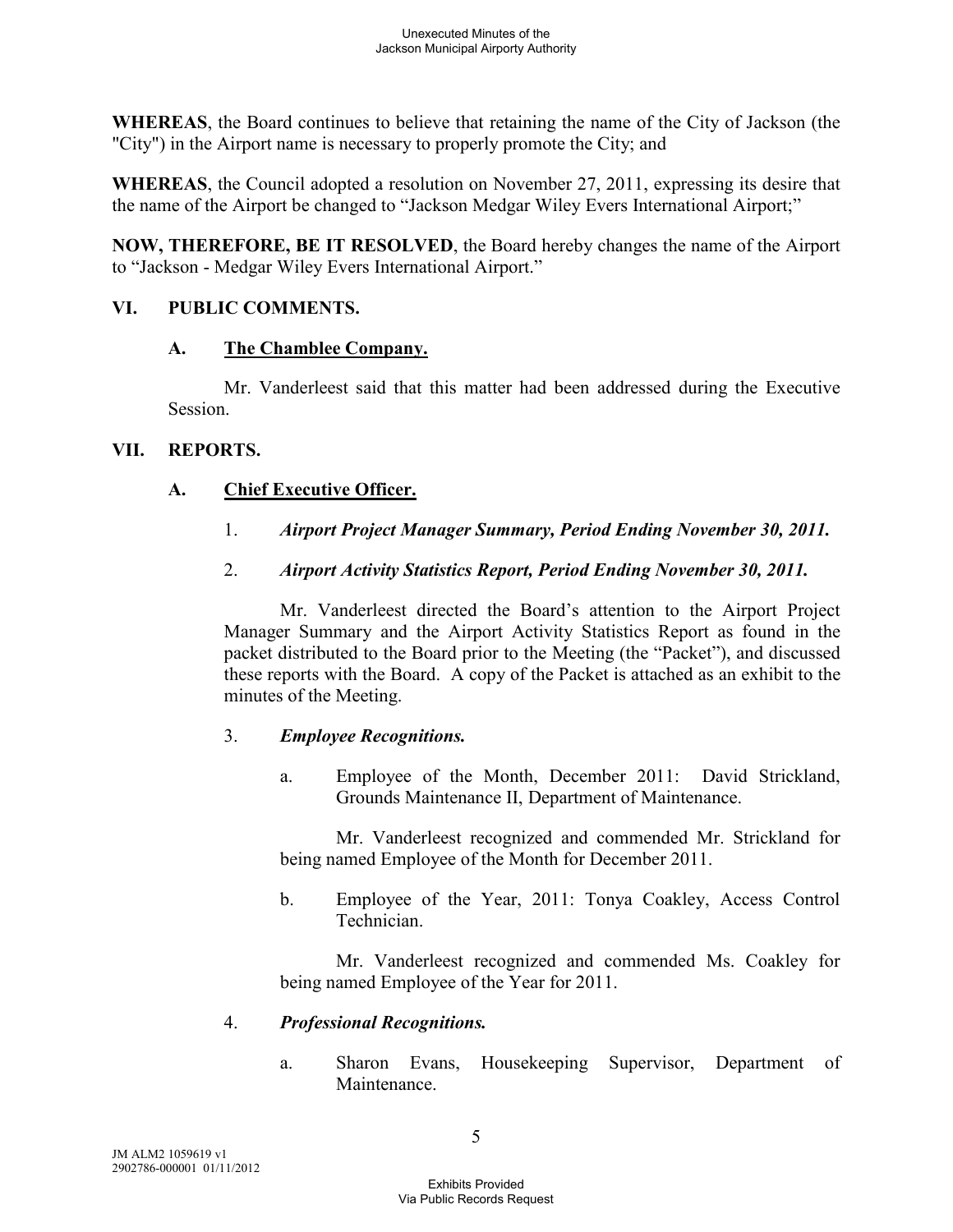**WHEREAS**, the Board continues to believe that retaining the name of the City of Jackson (the "City") in the Airport name is necessary to properly promote the City; and

**WHEREAS**, the Council adopted a resolution on November 27, 2011, expressing its desire that the name of the Airport be changed to "Jackson Medgar Wiley Evers International Airport;"

**NOW, THEREFORE, BE IT RESOLVED**, the Board hereby changes the name of the Airport to "Jackson - Medgar Wiley Evers International Airport."

### **VI. PUBLIC COMMENTS.**

### **A. The Chamblee Company.**

Mr. Vanderleest said that this matter had been addressed during the Executive Session.

### **VII. REPORTS.**

## **A. Chief Executive Officer.**

1. *Airport Project Manager Summary, Period Ending November 30, 2011.* 

## 2. *Airport Activity Statistics Report, Period Ending November 30, 2011.*

Mr. Vanderleest directed the Board's attention to the Airport Project Manager Summary and the Airport Activity Statistics Report as found in the packet distributed to the Board prior to the Meeting (the "Packet"), and discussed these reports with the Board. A copy of the Packet is attached as an exhibit to the minutes of the Meeting.

## 3. *Employee Recognitions.*

a. Employee of the Month, December 2011: David Strickland, Grounds Maintenance II, Department of Maintenance.

Mr. Vanderleest recognized and commended Mr. Strickland for being named Employee of the Month for December 2011.

b. Employee of the Year, 2011: Tonya Coakley, Access Control Technician.

Mr. Vanderleest recognized and commended Ms. Coakley for being named Employee of the Year for 2011.

## 4. *Professional Recognitions.*

a. Sharon Evans, Housekeeping Supervisor, Department of Maintenance.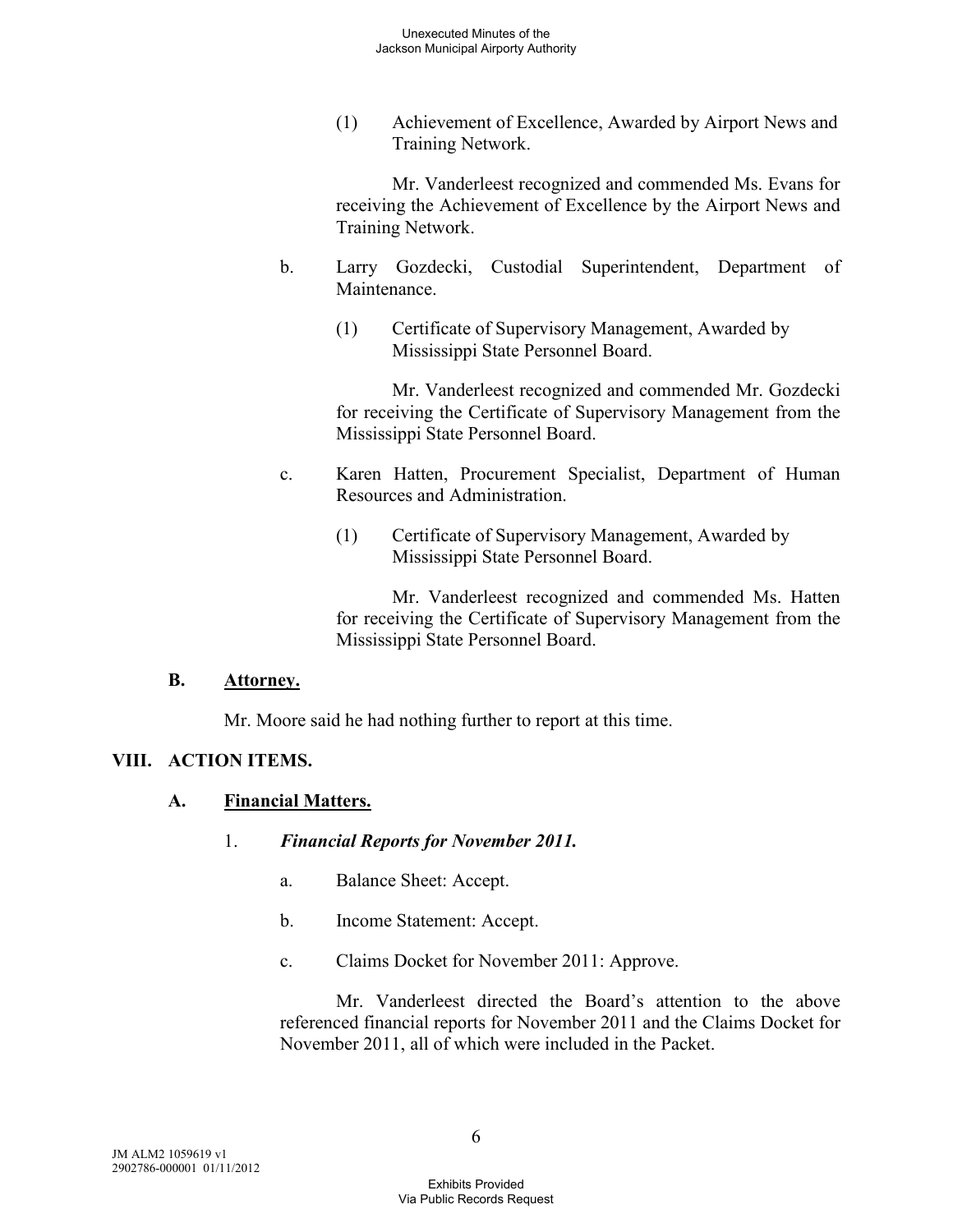(1) Achievement of Excellence, Awarded by Airport News and Training Network.

Mr. Vanderleest recognized and commended Ms. Evans for receiving the Achievement of Excellence by the Airport News and Training Network.

- b. Larry Gozdecki, Custodial Superintendent, Department of **Maintenance** 
	- (1) Certificate of Supervisory Management, Awarded by Mississippi State Personnel Board.

Mr. Vanderleest recognized and commended Mr. Gozdecki for receiving the Certificate of Supervisory Management from the Mississippi State Personnel Board.

- c. Karen Hatten, Procurement Specialist, Department of Human Resources and Administration.
	- (1) Certificate of Supervisory Management, Awarded by Mississippi State Personnel Board.

Mr. Vanderleest recognized and commended Ms. Hatten for receiving the Certificate of Supervisory Management from the Mississippi State Personnel Board.

#### **B. Attorney.**

Mr. Moore said he had nothing further to report at this time.

#### **VIII. ACTION ITEMS.**

#### **A. Financial Matters.**

- 1. *Financial Reports for November 2011.* 
	- a. Balance Sheet: Accept.
	- b. Income Statement: Accept.
	- c. Claims Docket for November 2011: Approve.

Mr. Vanderleest directed the Board's attention to the above referenced financial reports for November 2011 and the Claims Docket for November 2011, all of which were included in the Packet.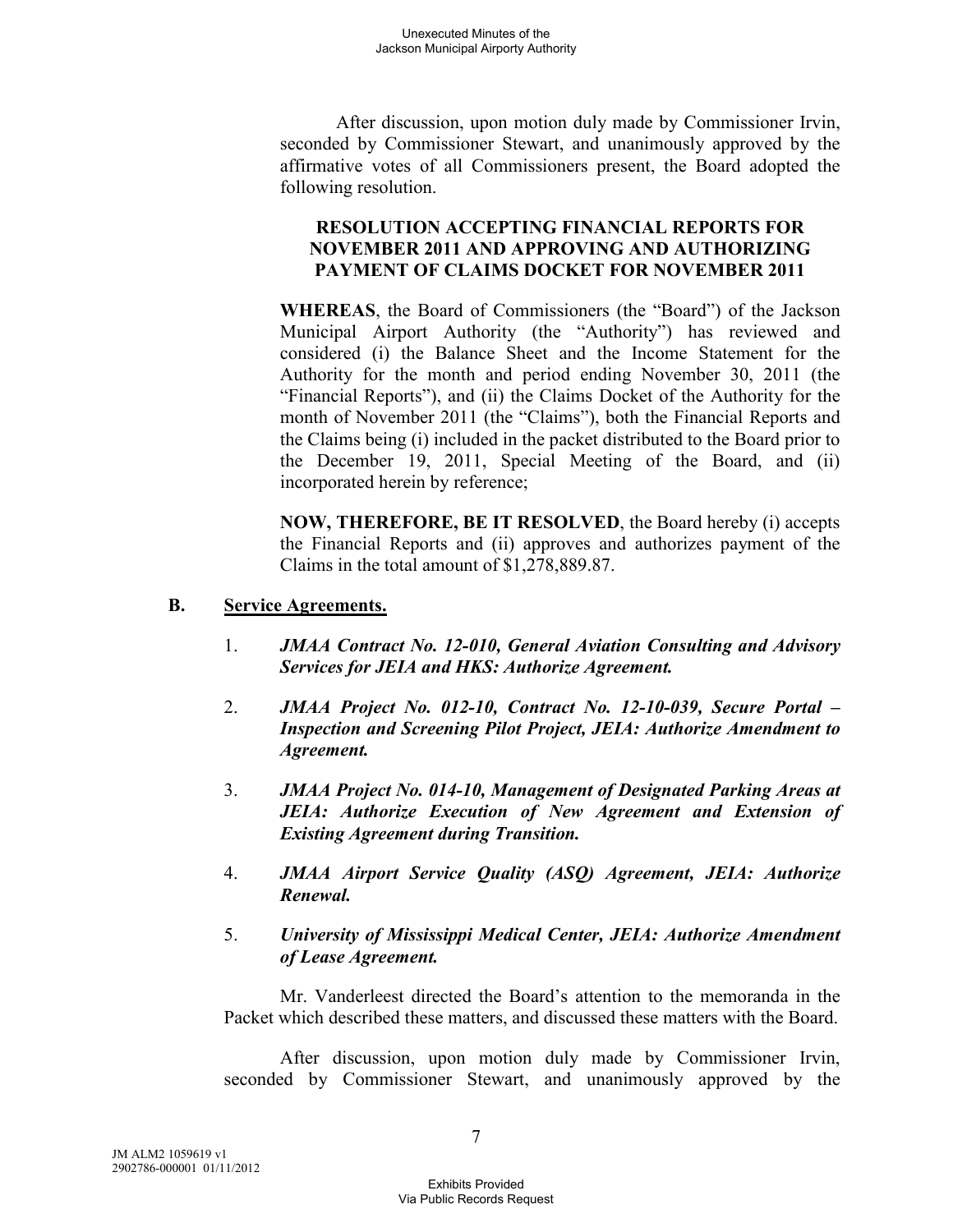After discussion, upon motion duly made by Commissioner Irvin, seconded by Commissioner Stewart, and unanimously approved by the affirmative votes of all Commissioners present, the Board adopted the following resolution.

## **RESOLUTION ACCEPTING FINANCIAL REPORTS FOR NOVEMBER 2011 AND APPROVING AND AUTHORIZING PAYMENT OF CLAIMS DOCKET FOR NOVEMBER 2011**

**WHEREAS**, the Board of Commissioners (the "Board") of the Jackson Municipal Airport Authority (the "Authority") has reviewed and considered (i) the Balance Sheet and the Income Statement for the Authority for the month and period ending November 30, 2011 (the "Financial Reports"), and (ii) the Claims Docket of the Authority for the month of November 2011 (the "Claims"), both the Financial Reports and the Claims being (i) included in the packet distributed to the Board prior to the December 19, 2011, Special Meeting of the Board, and (ii) incorporated herein by reference;

**NOW, THEREFORE, BE IT RESOLVED**, the Board hereby (i) accepts the Financial Reports and (ii) approves and authorizes payment of the Claims in the total amount of \$1,278,889.87.

#### **B. Service Agreements.**

- 1. *JMAA Contract No. 12-010, General Aviation Consulting and Advisory Services for JEIA and HKS: Authorize Agreement.*
- 2. *JMAA Project No. 012-10, Contract No. 12-10-039, Secure Portal Inspection and Screening Pilot Project, JEIA: Authorize Amendment to Agreement.*
- 3. *JMAA Project No. 014-10, Management of Designated Parking Areas at JEIA: Authorize Execution of New Agreement and Extension of Existing Agreement during Transition.*
- 4. *JMAA Airport Service Quality (ASQ) Agreement, JEIA: Authorize Renewal.*
- 5. *University of Mississippi Medical Center, JEIA: Authorize Amendment of Lease Agreement.*

Mr. Vanderleest directed the Board's attention to the memoranda in the Packet which described these matters, and discussed these matters with the Board.

After discussion, upon motion duly made by Commissioner Irvin, seconded by Commissioner Stewart, and unanimously approved by the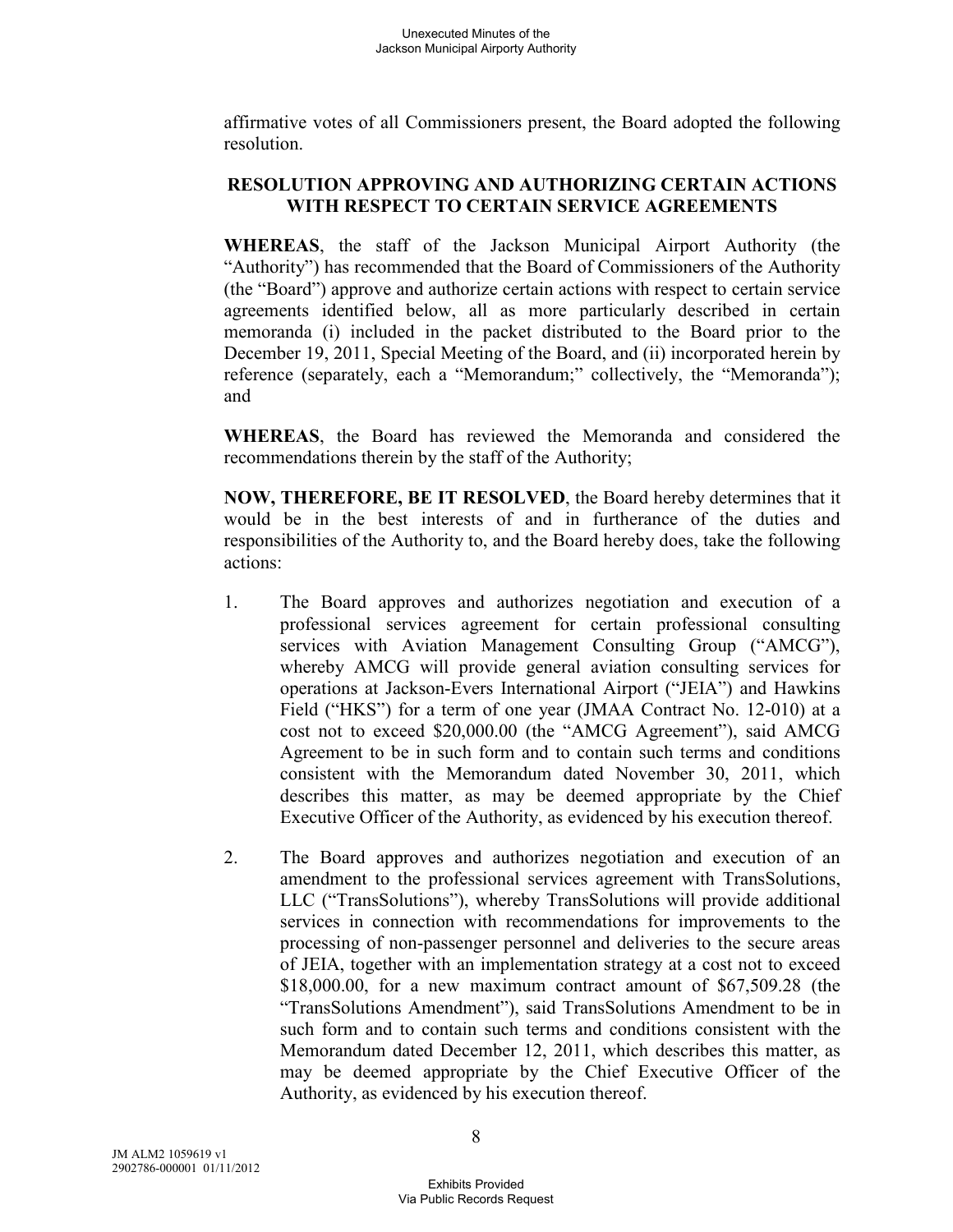affirmative votes of all Commissioners present, the Board adopted the following resolution.

# **RESOLUTION APPROVING AND AUTHORIZING CERTAIN ACTIONS WITH RESPECT TO CERTAIN SERVICE AGREEMENTS**

**WHEREAS**, the staff of the Jackson Municipal Airport Authority (the "Authority") has recommended that the Board of Commissioners of the Authority (the "Board") approve and authorize certain actions with respect to certain service agreements identified below, all as more particularly described in certain memoranda (i) included in the packet distributed to the Board prior to the December 19, 2011, Special Meeting of the Board, and (ii) incorporated herein by reference (separately, each a "Memorandum;" collectively, the "Memoranda"); and

**WHEREAS**, the Board has reviewed the Memoranda and considered the recommendations therein by the staff of the Authority;

**NOW, THEREFORE, BE IT RESOLVED**, the Board hereby determines that it would be in the best interests of and in furtherance of the duties and responsibilities of the Authority to, and the Board hereby does, take the following actions:

- 1. The Board approves and authorizes negotiation and execution of a professional services agreement for certain professional consulting services with Aviation Management Consulting Group ("AMCG"), whereby AMCG will provide general aviation consulting services for operations at Jackson-Evers International Airport ("JEIA") and Hawkins Field ("HKS") for a term of one year (JMAA Contract No. 12-010) at a cost not to exceed \$20,000.00 (the "AMCG Agreement"), said AMCG Agreement to be in such form and to contain such terms and conditions consistent with the Memorandum dated November 30, 2011, which describes this matter, as may be deemed appropriate by the Chief Executive Officer of the Authority, as evidenced by his execution thereof.
- 2. The Board approves and authorizes negotiation and execution of an amendment to the professional services agreement with TransSolutions, LLC ("TransSolutions"), whereby TransSolutions will provide additional services in connection with recommendations for improvements to the processing of non-passenger personnel and deliveries to the secure areas of JEIA, together with an implementation strategy at a cost not to exceed \$18,000.00, for a new maximum contract amount of \$67,509.28 (the "TransSolutions Amendment"), said TransSolutions Amendment to be in such form and to contain such terms and conditions consistent with the Memorandum dated December 12, 2011, which describes this matter, as may be deemed appropriate by the Chief Executive Officer of the Authority, as evidenced by his execution thereof.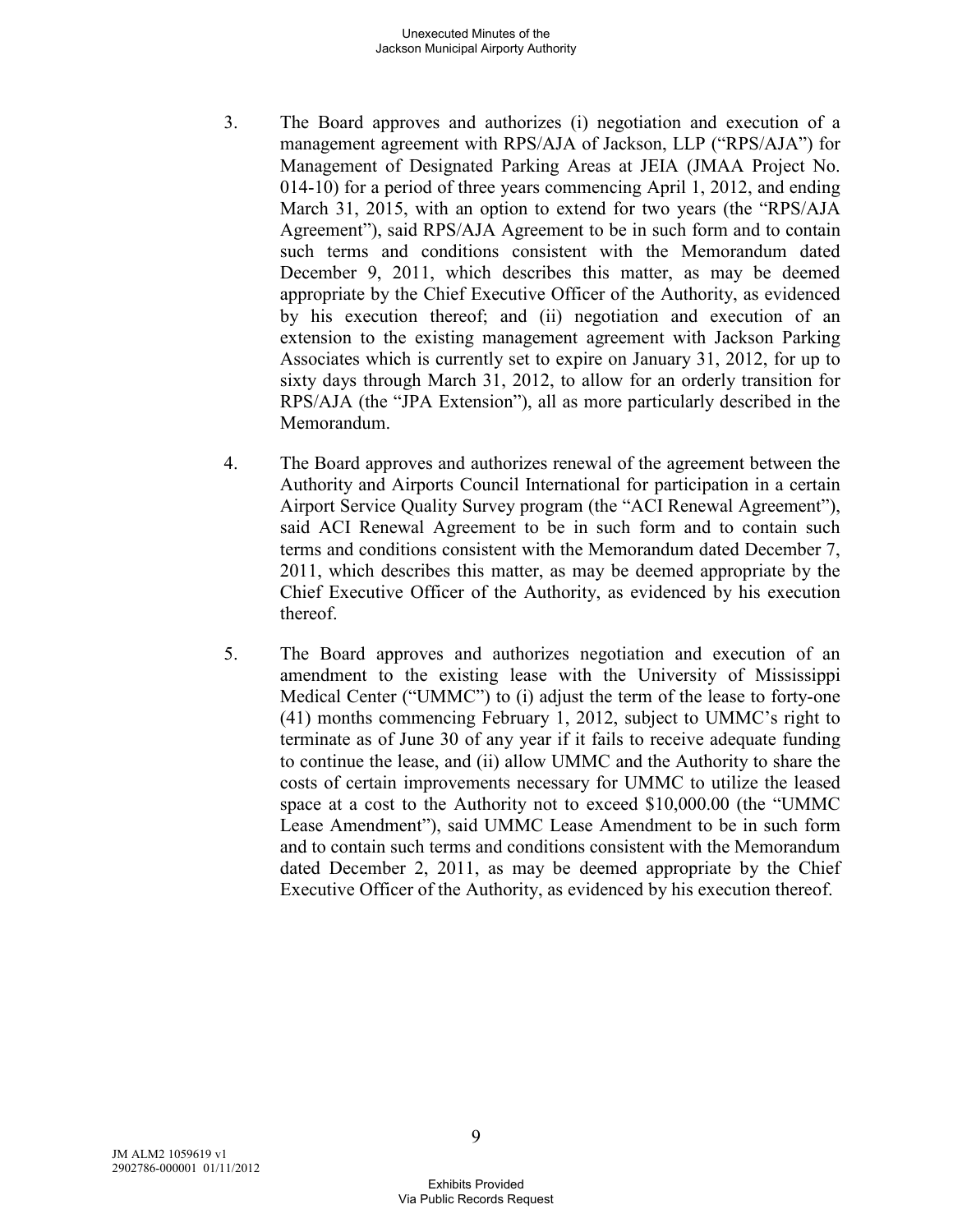- 3. The Board approves and authorizes (i) negotiation and execution of a management agreement with RPS/AJA of Jackson, LLP ("RPS/AJA") for Management of Designated Parking Areas at JEIA (JMAA Project No. 014-10) for a period of three years commencing April 1, 2012, and ending March 31, 2015, with an option to extend for two years (the "RPS/AJA Agreement"), said RPS/AJA Agreement to be in such form and to contain such terms and conditions consistent with the Memorandum dated December 9, 2011, which describes this matter, as may be deemed appropriate by the Chief Executive Officer of the Authority, as evidenced by his execution thereof; and (ii) negotiation and execution of an extension to the existing management agreement with Jackson Parking Associates which is currently set to expire on January 31, 2012, for up to sixty days through March 31, 2012, to allow for an orderly transition for RPS/AJA (the "JPA Extension"), all as more particularly described in the Memorandum.
- 4. The Board approves and authorizes renewal of the agreement between the Authority and Airports Council International for participation in a certain Airport Service Quality Survey program (the "ACI Renewal Agreement"), said ACI Renewal Agreement to be in such form and to contain such terms and conditions consistent with the Memorandum dated December 7, 2011, which describes this matter, as may be deemed appropriate by the Chief Executive Officer of the Authority, as evidenced by his execution thereof.
- 5. The Board approves and authorizes negotiation and execution of an amendment to the existing lease with the University of Mississippi Medical Center ("UMMC") to (i) adjust the term of the lease to forty-one (41) months commencing February 1, 2012, subject to UMMC's right to terminate as of June 30 of any year if it fails to receive adequate funding to continue the lease, and (ii) allow UMMC and the Authority to share the costs of certain improvements necessary for UMMC to utilize the leased space at a cost to the Authority not to exceed \$10,000.00 (the "UMMC Lease Amendment"), said UMMC Lease Amendment to be in such form and to contain such terms and conditions consistent with the Memorandum dated December 2, 2011, as may be deemed appropriate by the Chief Executive Officer of the Authority, as evidenced by his execution thereof.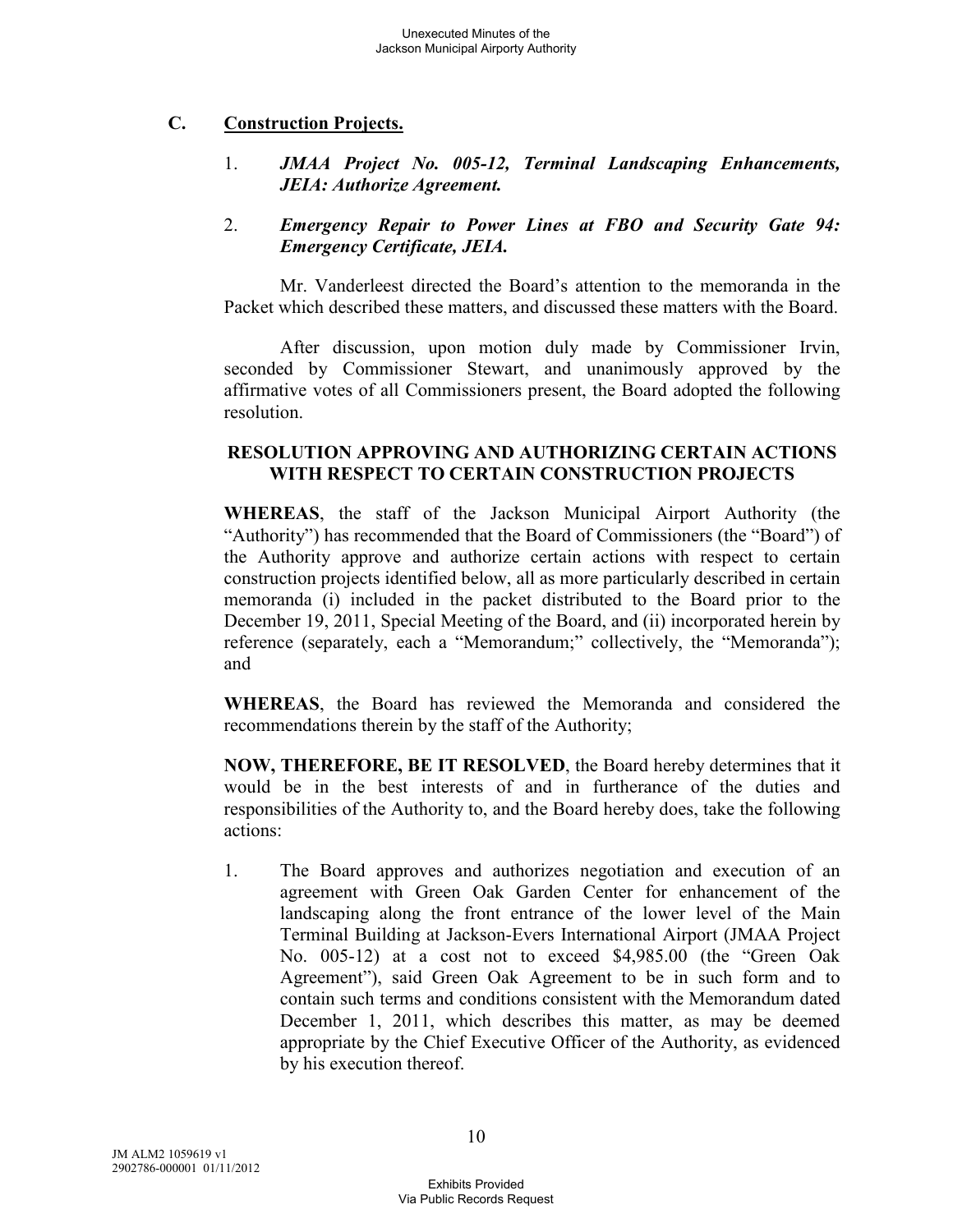### **C. Construction Projects.**

1. *JMAA Project No. 005-12, Terminal Landscaping Enhancements, JEIA: Authorize Agreement.* 

### 2. *Emergency Repair to Power Lines at FBO and Security Gate 94: Emergency Certificate, JEIA.*

Mr. Vanderleest directed the Board's attention to the memoranda in the Packet which described these matters, and discussed these matters with the Board.

After discussion, upon motion duly made by Commissioner Irvin, seconded by Commissioner Stewart, and unanimously approved by the affirmative votes of all Commissioners present, the Board adopted the following resolution.

### **RESOLUTION APPROVING AND AUTHORIZING CERTAIN ACTIONS WITH RESPECT TO CERTAIN CONSTRUCTION PROJECTS**

**WHEREAS**, the staff of the Jackson Municipal Airport Authority (the "Authority") has recommended that the Board of Commissioners (the "Board") of the Authority approve and authorize certain actions with respect to certain construction projects identified below, all as more particularly described in certain memoranda (i) included in the packet distributed to the Board prior to the December 19, 2011, Special Meeting of the Board, and (ii) incorporated herein by reference (separately, each a "Memorandum;" collectively, the "Memoranda"); and

**WHEREAS**, the Board has reviewed the Memoranda and considered the recommendations therein by the staff of the Authority;

**NOW, THEREFORE, BE IT RESOLVED**, the Board hereby determines that it would be in the best interests of and in furtherance of the duties and responsibilities of the Authority to, and the Board hereby does, take the following actions:

1. The Board approves and authorizes negotiation and execution of an agreement with Green Oak Garden Center for enhancement of the landscaping along the front entrance of the lower level of the Main Terminal Building at Jackson-Evers International Airport (JMAA Project No. 005-12) at a cost not to exceed \$4,985.00 (the "Green Oak Agreement"), said Green Oak Agreement to be in such form and to contain such terms and conditions consistent with the Memorandum dated December 1, 2011, which describes this matter, as may be deemed appropriate by the Chief Executive Officer of the Authority, as evidenced by his execution thereof.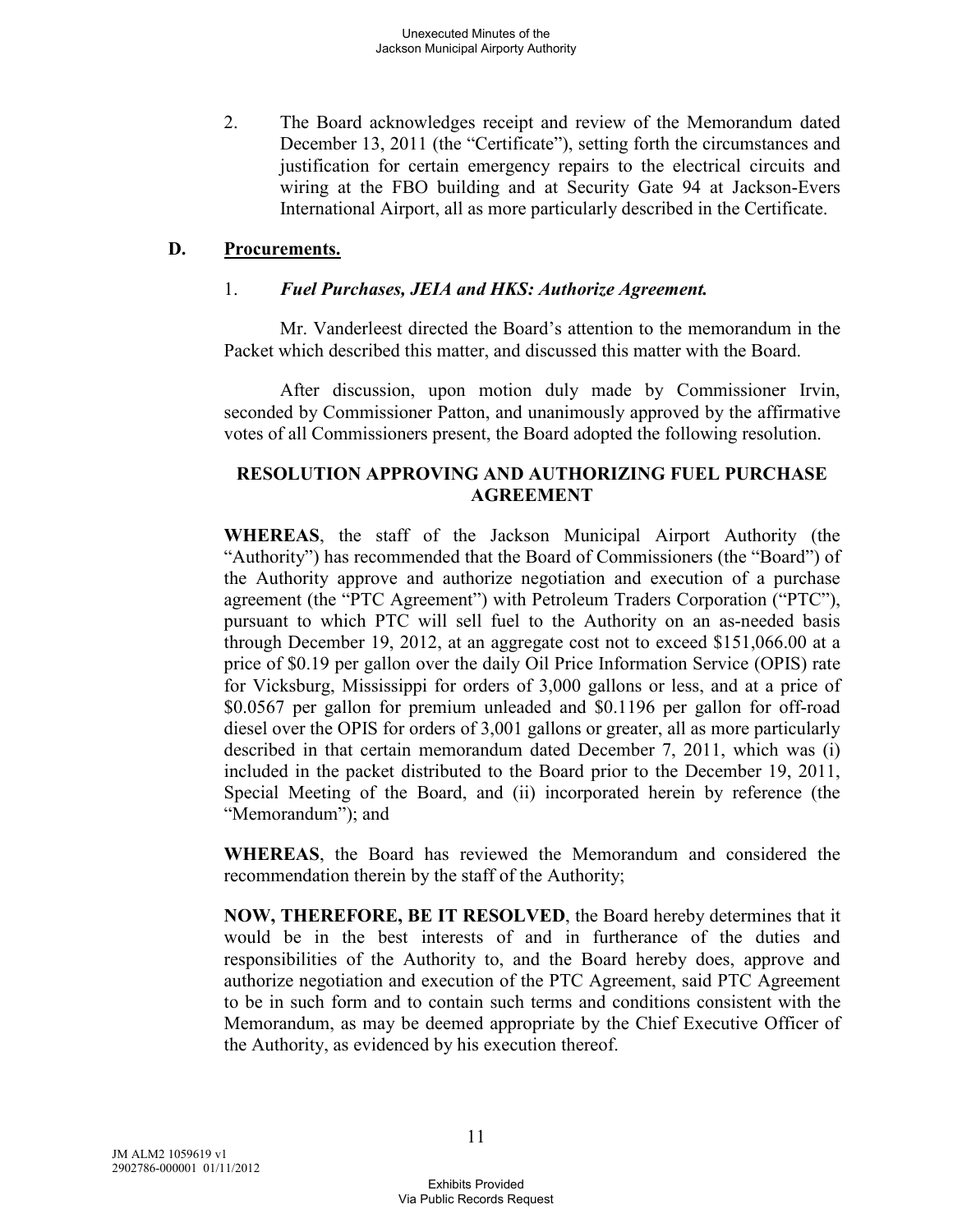2. The Board acknowledges receipt and review of the Memorandum dated December 13, 2011 (the "Certificate"), setting forth the circumstances and justification for certain emergency repairs to the electrical circuits and wiring at the FBO building and at Security Gate 94 at Jackson-Evers International Airport, all as more particularly described in the Certificate.

#### **D. Procurements.**

### 1. *Fuel Purchases, JEIA and HKS: Authorize Agreement.*

Mr. Vanderleest directed the Board's attention to the memorandum in the Packet which described this matter, and discussed this matter with the Board.

After discussion, upon motion duly made by Commissioner Irvin, seconded by Commissioner Patton, and unanimously approved by the affirmative votes of all Commissioners present, the Board adopted the following resolution.

## **RESOLUTION APPROVING AND AUTHORIZING FUEL PURCHASE AGREEMENT**

**WHEREAS**, the staff of the Jackson Municipal Airport Authority (the "Authority") has recommended that the Board of Commissioners (the "Board") of the Authority approve and authorize negotiation and execution of a purchase agreement (the "PTC Agreement") with Petroleum Traders Corporation ("PTC"), pursuant to which PTC will sell fuel to the Authority on an as-needed basis through December 19, 2012, at an aggregate cost not to exceed \$151,066.00 at a price of \$0.19 per gallon over the daily Oil Price Information Service (OPIS) rate for Vicksburg, Mississippi for orders of 3,000 gallons or less, and at a price of \$0.0567 per gallon for premium unleaded and \$0.1196 per gallon for off-road diesel over the OPIS for orders of 3,001 gallons or greater, all as more particularly described in that certain memorandum dated December 7, 2011, which was (i) included in the packet distributed to the Board prior to the December 19, 2011, Special Meeting of the Board, and (ii) incorporated herein by reference (the "Memorandum"); and

**WHEREAS**, the Board has reviewed the Memorandum and considered the recommendation therein by the staff of the Authority;

**NOW, THEREFORE, BE IT RESOLVED**, the Board hereby determines that it would be in the best interests of and in furtherance of the duties and responsibilities of the Authority to, and the Board hereby does, approve and authorize negotiation and execution of the PTC Agreement, said PTC Agreement to be in such form and to contain such terms and conditions consistent with the Memorandum, as may be deemed appropriate by the Chief Executive Officer of the Authority, as evidenced by his execution thereof.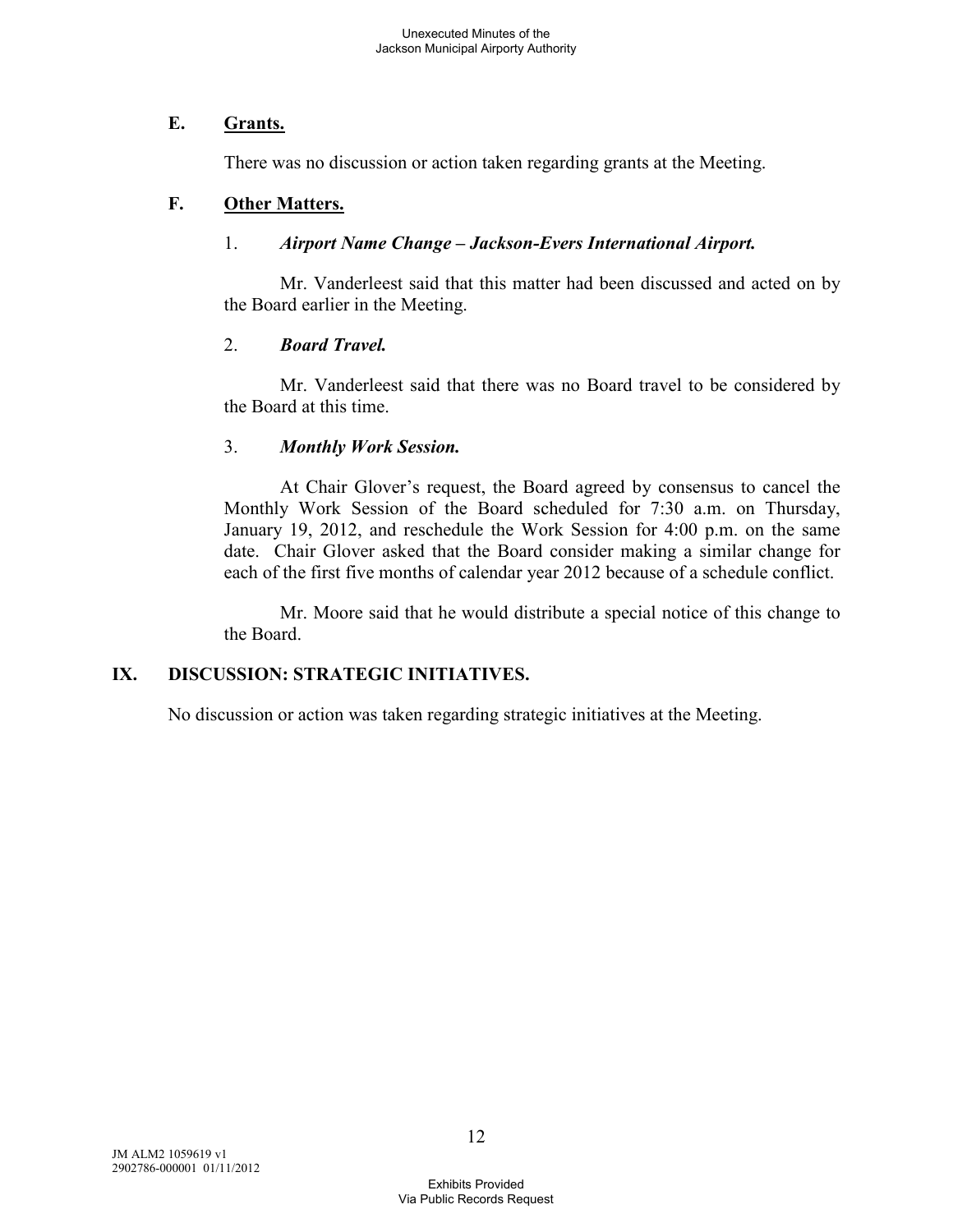## **E. Grants.**

There was no discussion or action taken regarding grants at the Meeting.

# **F. Other Matters.**

## 1. *Airport Name Change – Jackson-Evers International Airport.*

Mr. Vanderleest said that this matter had been discussed and acted on by the Board earlier in the Meeting.

# 2. *Board Travel.*

Mr. Vanderleest said that there was no Board travel to be considered by the Board at this time.

# 3. *Monthly Work Session.*

At Chair Glover's request, the Board agreed by consensus to cancel the Monthly Work Session of the Board scheduled for 7:30 a.m. on Thursday, January 19, 2012, and reschedule the Work Session for 4:00 p.m. on the same date. Chair Glover asked that the Board consider making a similar change for each of the first five months of calendar year 2012 because of a schedule conflict.

Mr. Moore said that he would distribute a special notice of this change to the Board.

# **IX. DISCUSSION: STRATEGIC INITIATIVES.**

No discussion or action was taken regarding strategic initiatives at the Meeting.